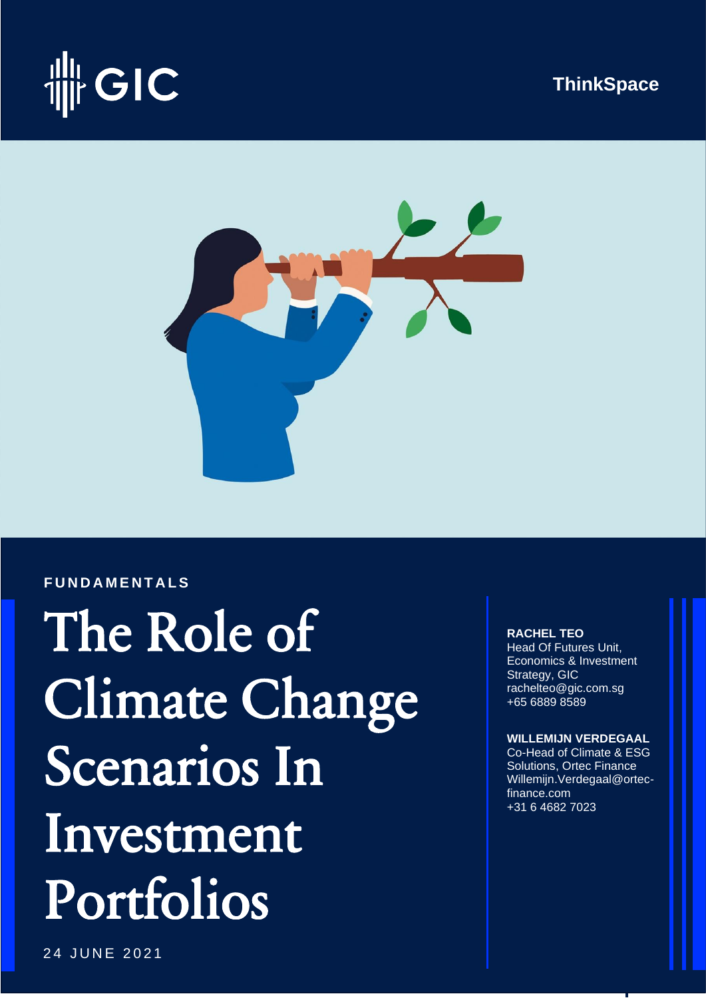





### **F U N D A M E N T A L S**

 Portfolios The Role of Climate Change Scenarios In Investment

**RACHEL TEO**

Head Of Futures Unit, Economics & Investment **Strategy, GIC** [rachelteo@gic.com.sg](mailto:rachelteo@gic.com.sg) +65 6889 8589

### **WILLEMIJN VERDEGAAL**

Co-Head of Climate & ESG Solutions, Ortec Finance [Willemijn.Verdegaal@ortec](mailto:Willemijn.Verdegaal@ortec-finance.com)[finance.com](mailto:Willemijn.Verdegaal@ortec-finance.com) +31 6 4682 7023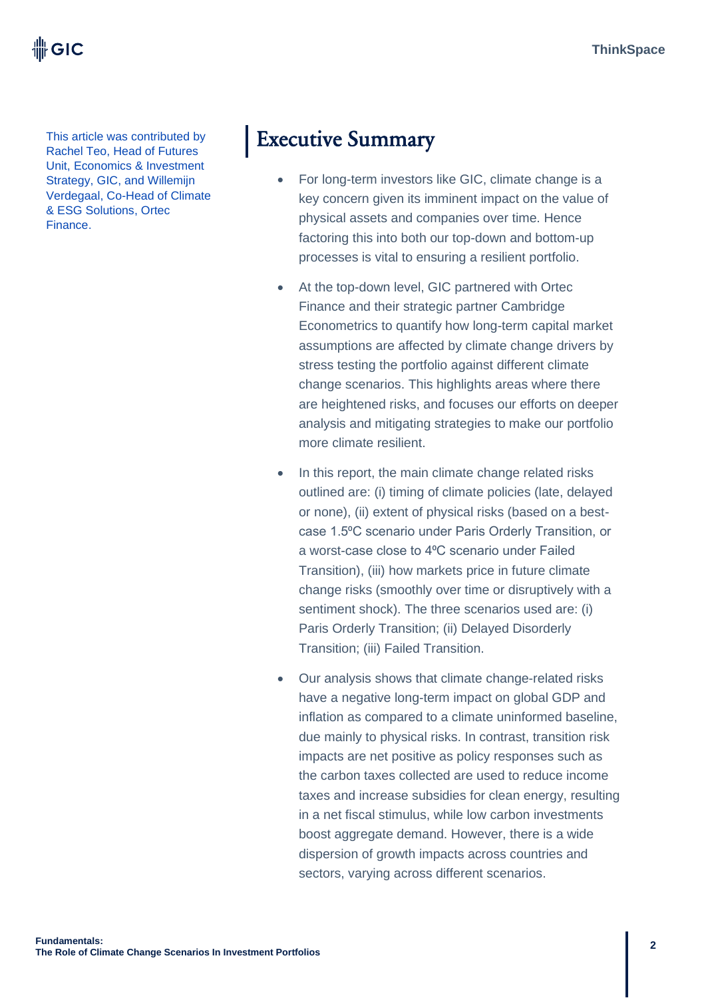I⊪ GIC

This article was contributed by Rachel Teo, Head of Futures Unit, Economics & Investment Strategy, GIC, and Willemijn Verdegaal, Co-Head of Climate & ESG Solutions, Ortec Finance.

# Executive Summary

- For long-term investors like GIC, climate change is a key concern given its imminent impact on the value of physical assets and companies over time. Hence factoring this into both our top-down and bottom-up processes is vital to ensuring a resilient portfolio.
- At the top-down level, GIC partnered with Ortec Finance and their strategic partner Cambridge Econometrics to quantify how long-term capital market assumptions are affected by climate change drivers by stress testing the portfolio against different climate change scenarios. This highlights areas where there are heightened risks, and focuses our efforts on deeper analysis and mitigating strategies to make our portfolio more climate resilient.
- In this report, the main climate change related risks outlined are: (i) timing of climate policies (late, delayed or none), (ii) extent of physical risks (based on a bestcase 1.5⁰C scenario under Paris Orderly Transition, or a worst-case close to 4⁰C scenario under Failed Transition), (iii) how markets price in future climate change risks (smoothly over time or disruptively with a sentiment shock). The three scenarios used are: (i) Paris Orderly Transition; (ii) Delayed Disorderly Transition; (iii) Failed Transition.
- Our analysis shows that climate change-related risks have a negative long-term impact on global GDP and inflation as compared to a climate uninformed baseline, due mainly to physical risks. In contrast, transition risk impacts are net positive as policy responses such as the carbon taxes collected are used to reduce income taxes and increase subsidies for clean energy, resulting in a net fiscal stimulus, while low carbon investments boost aggregate demand. However, there is a wide dispersion of growth impacts across countries and sectors, varying across different scenarios.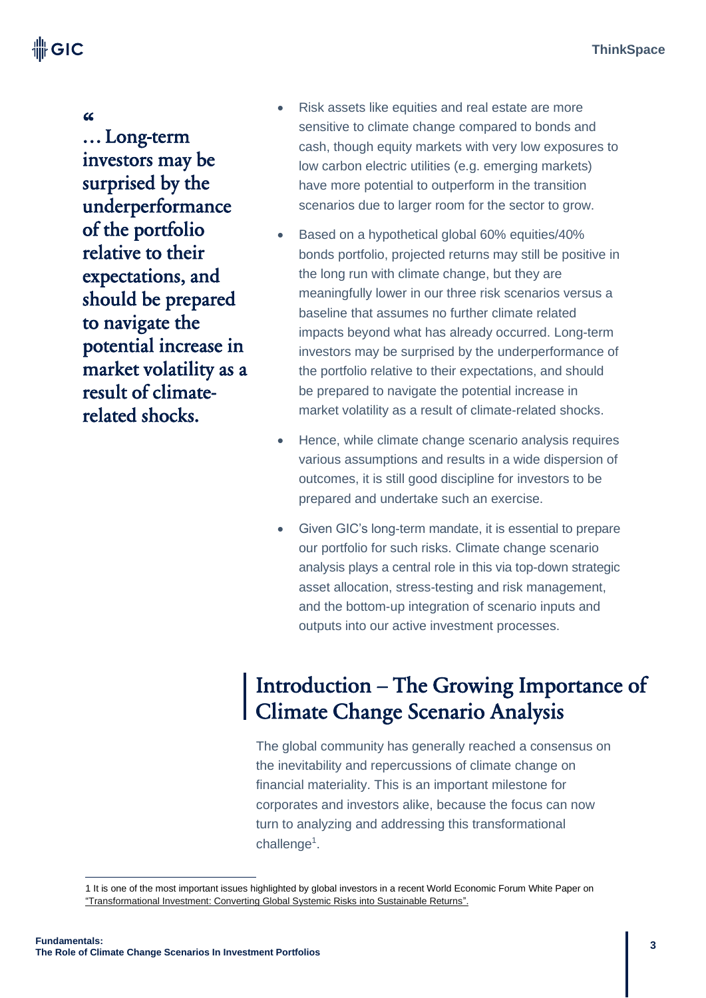卌GIC

«<br>... Long-term investors may be surprised by the underperformance of the portfolio relative to their expectations, and should be prepared to navigate the potential increase in market volatility as a result of climaterelated shocks.

- Risk assets like equities and real estate are more sensitive to climate change compared to bonds and cash, though equity markets with very low exposures to low carbon electric utilities (e.g. emerging markets) have more potential to outperform in the transition scenarios due to larger room for the sector to grow.
- Based on a hypothetical global 60% equities/40% bonds portfolio, projected returns may still be positive in the long run with climate change, but they are meaningfully lower in our three risk scenarios versus a baseline that assumes no further climate related impacts beyond what has already occurred. Long-term investors may be surprised by the underperformance of the portfolio relative to their expectations, and should be prepared to navigate the potential increase in market volatility as a result of climate-related shocks.
- Hence, while climate change scenario analysis requires various assumptions and results in a wide dispersion of outcomes, it is still good discipline for investors to be prepared and undertake such an exercise.
- Given GIC's long-term mandate, it is essential to prepare our portfolio for such risks. Climate change scenario analysis plays a central role in this via top-down strategic asset allocation, stress-testing and risk management, and the bottom-up integration of scenario inputs and outputs into our active investment processes.

# Introduction – The Growing Importance of Climate Change Scenario Analysis

The global community has generally reached a consensus on the inevitability and repercussions of climate change on financial materiality. This is an important milestone for corporates and investors alike, because the focus can now turn to analyzing and addressing this transformational challenge<sup>1</sup>.

<sup>1</sup> It is one of the most important issues highlighted by global investors in a recent World Economic Forum White Paper on ["Transformational Investment: Converting Global Systemic Risks into Sustainable Returns".](http://www3.weforum.org/docs/WEF_Transformational_Investment_2020.pdf)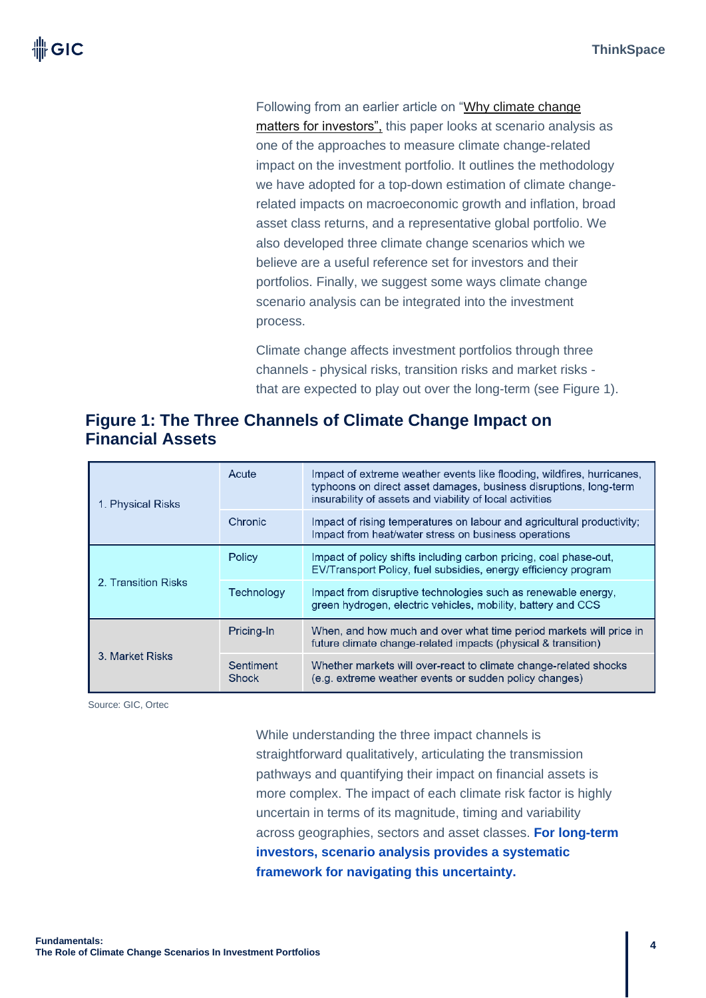Following from an earlier article on ["Why climate change](https://www.gic.com.sg/thinkspace/sustainability/why-climate-change-matters-for-investors/)  [matters for investors",](https://www.gic.com.sg/thinkspace/sustainability/why-climate-change-matters-for-investors/) this paper looks at scenario analysis as one of the approaches to measure climate change-related impact on the investment portfolio. It outlines the methodology we have adopted for a top-down estimation of climate changerelated impacts on macroeconomic growth and inflation, broad asset class returns, and a representative global portfolio. We also developed three climate change scenarios which we believe are a useful reference set for investors and their portfolios. Finally, we suggest some ways climate change scenario analysis can be integrated into the investment process.

Climate change affects investment portfolios through three channels - physical risks, transition risks and market risks that are expected to play out over the long-term (see Figure 1).

### **Figure 1: The Three Channels of Climate Change Impact on Financial Assets**

| 1. Physical Risks   | Acute              | Impact of extreme weather events like flooding, wildfires, hurricanes,<br>typhoons on direct asset damages, business disruptions, long-term<br>insurability of assets and viability of local activities |  |
|---------------------|--------------------|---------------------------------------------------------------------------------------------------------------------------------------------------------------------------------------------------------|--|
|                     | Chronic            | Impact of rising temperatures on labour and agricultural productivity;<br>Impact from heat/water stress on business operations                                                                          |  |
|                     | Policy             | Impact of policy shifts including carbon pricing, coal phase-out,<br>EV/Transport Policy, fuel subsidies, energy efficiency program                                                                     |  |
| 2. Transition Risks | Technology         | Impact from disruptive technologies such as renewable energy,<br>green hydrogen, electric vehicles, mobility, battery and CCS                                                                           |  |
|                     | Pricing-In         | When, and how much and over what time period markets will price in<br>future climate change-related impacts (physical & transition)                                                                     |  |
| 3. Market Risks     | Sentiment<br>Shock | Whether markets will over-react to climate change-related shocks<br>(e.g. extreme weather events or sudden policy changes)                                                                              |  |

Source: GIC, Ortec

While understanding the three impact channels is straightforward qualitatively, articulating the transmission pathways and quantifying their impact on financial assets is more complex. The impact of each climate risk factor is highly uncertain in terms of its magnitude, timing and variability across geographies, sectors and asset classes. **For long-term investors, scenario analysis provides a systematic framework for navigating this uncertainty.**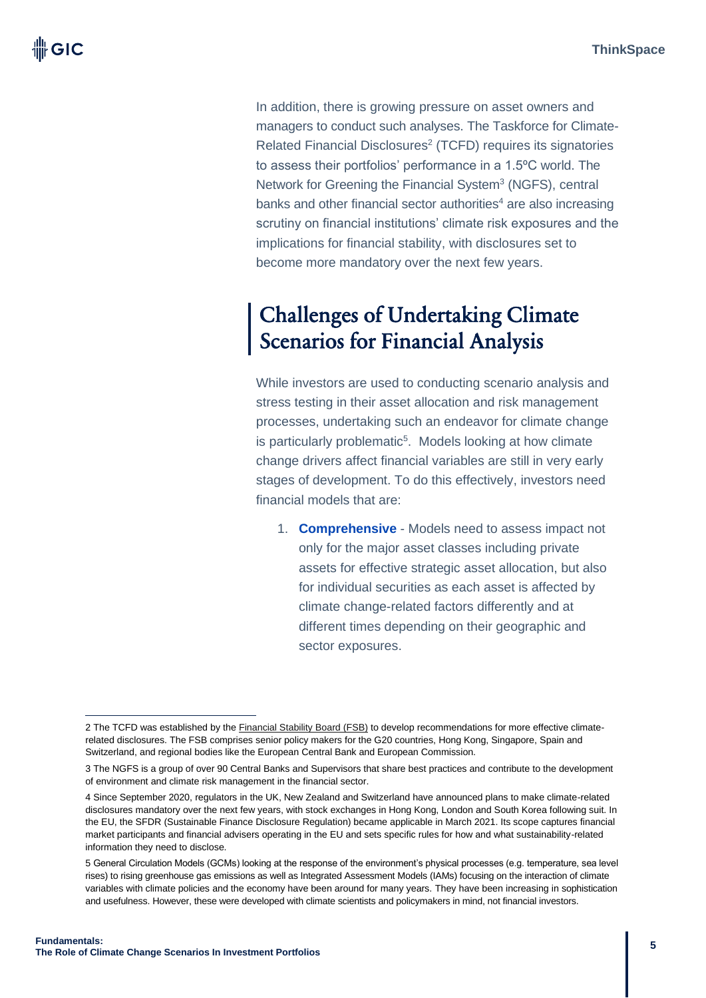In addition, there is growing pressure on asset owners and managers to conduct such analyses. The Taskforce for Climate-Related Financial Disclosures<sup>2</sup> (TCFD) requires its signatories to assess their portfolios' performance in a 1.5ºC world. The Network for Greening the Financial System<sup>3</sup> (NGFS), central banks and other financial sector authorities<sup>4</sup> are also increasing scrutiny on financial institutions' climate risk exposures and the implications for financial stability, with disclosures set to become more mandatory over the next few years.

# Challenges of Undertaking Climate Scenarios for Financial Analysis

While investors are used to conducting scenario analysis and stress testing in their asset allocation and risk management processes, undertaking such an endeavor for climate change is particularly problematic<sup>5</sup>. Models looking at how climate change drivers affect financial variables are still in very early stages of development. To do this effectively, investors need financial models that are:

1. **Comprehensive** - Models need to assess impact not only for the major asset classes including private assets for effective strategic asset allocation, but also for individual securities as each asset is affected by climate change-related factors differently and at different times depending on their geographic and sector exposures.

<sup>2</sup> The TCFD was established by th[e Financial Stability Board](https://www.fsb.org/about/organisation-and-governance/members-of-the-financial-stability-board/) (FSB) to develop recommendations for more effective climaterelated disclosures. The FSB comprises senior policy makers for the G20 countries, Hong Kong, Singapore, Spain and Switzerland, and regional bodies like the European Central Bank and European Commission.

<sup>3</sup> The NGFS is a group of over 90 Central Banks and Supervisors that share best practices and contribute to the development of environment and climate risk management in the financial sector.

<sup>4</sup> Since September 2020, regulators in the UK, New Zealand and Switzerland have announced plans to make climate-related disclosures mandatory over the next few years, with stock exchanges in Hong Kong, London and South Korea following suit. In the EU, the SFDR (Sustainable Finance Disclosure Regulation) became applicable in March 2021. Its scope captures financial market participants and financial advisers operating in the EU and sets specific rules for how and what sustainability-related information they need to disclose.

<sup>5</sup> General Circulation Models (GCMs) looking at the response of the environment's physical processes (e.g. temperature, sea level rises) to rising greenhouse gas emissions as well as Integrated Assessment Models (IAMs) focusing on the interaction of climate variables with climate policies and the economy have been around for many years. They have been increasing in sophistication and usefulness. However, these were developed with climate scientists and policymakers in mind, not financial investors.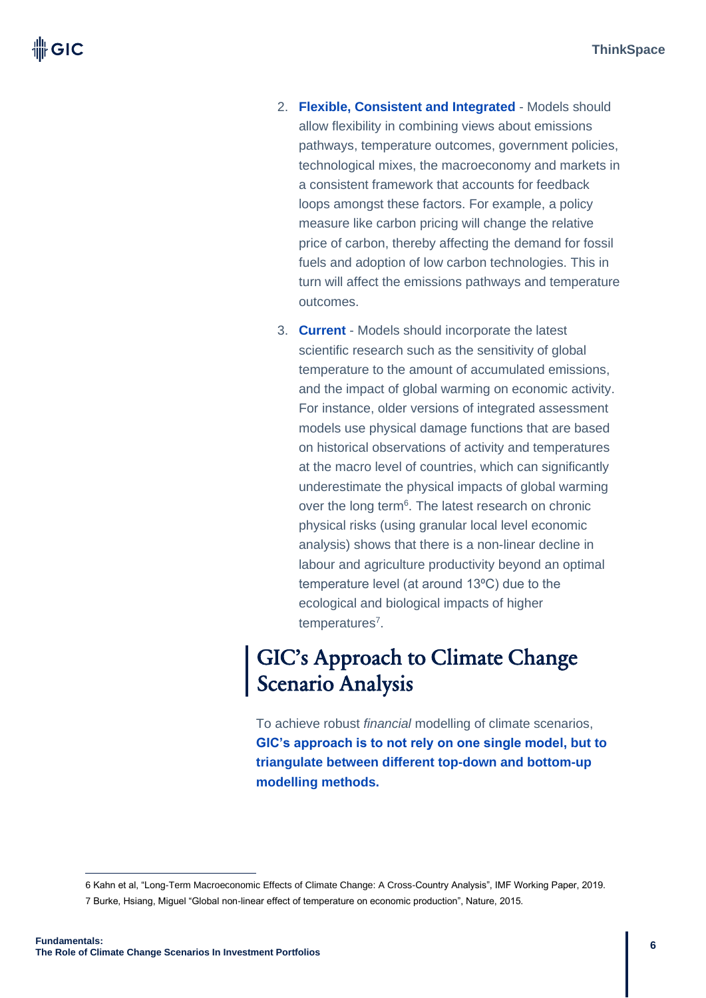- 2. **Flexible, Consistent and Integrated** Models should allow flexibility in combining views about emissions pathways, temperature outcomes, government policies, technological mixes, the macroeconomy and markets in a consistent framework that accounts for feedback loops amongst these factors. For example, a policy measure like carbon pricing will change the relative price of carbon, thereby affecting the demand for fossil fuels and adoption of low carbon technologies. This in turn will affect the emissions pathways and temperature outcomes.
- 3. **Current** Models should incorporate the latest scientific research such as the sensitivity of global temperature to the amount of accumulated emissions, and the impact of global warming on economic activity. For instance, older versions of integrated assessment models use physical damage functions that are based on historical observations of activity and temperatures at the macro level of countries, which can significantly underestimate the physical impacts of global warming over the long term<sup>6</sup>. The latest research on chronic physical risks (using granular local level economic analysis) shows that there is a non-linear decline in labour and agriculture productivity beyond an optimal temperature level (at around 13<sup>o</sup>C) due to the ecological and biological impacts of higher temperatures<sup>7</sup>.

# GIC's Approach to Climate Change Scenario Analysis

To achieve robust *financial* modelling of climate scenarios, **GIC's approach is to not rely on one single model, but to triangulate between different top-down and bottom-up modelling methods.** 

<sup>6</sup> Kahn et al, "Long-Term Macroeconomic Effects of Climate Change: A Cross-Country Analysis", IMF Working Paper, 2019. 7 Burke, Hsiang, Miguel "Global non-linear effect of temperature on economic production", Nature, 2015.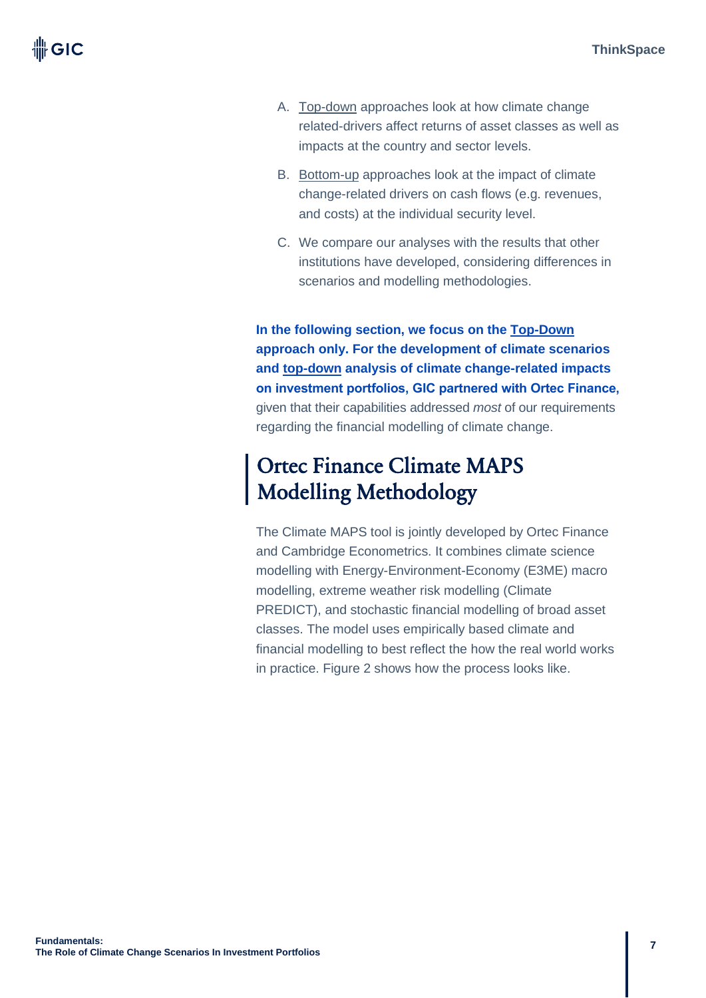- A. Top-down approaches look at how climate change related-drivers affect returns of asset classes as well as impacts at the country and sector levels.
- B. Bottom-up approaches look at the impact of climate change-related drivers on cash flows (e.g. revenues, and costs) at the individual security level.
- C. We compare our analyses with the results that other institutions have developed, considering differences in scenarios and modelling methodologies.

**In the following section, we focus on the Top-Down approach only. For the development of climate scenarios and top-down analysis of climate change-related impacts on investment portfolios, GIC partnered with Ortec Finance,** given that their capabilities addressed *most* of our requirements regarding the financial modelling of climate change.

# Ortec Finance Climate MAPS Modelling Methodology

The Climate MAPS tool is jointly developed by Ortec Finance and Cambridge Econometrics. It combines climate science modelling with Energy-Environment-Economy (E3ME) macro modelling, extreme weather risk modelling (Climate PREDICT), and stochastic financial modelling of broad asset classes. The model uses empirically based climate and financial modelling to best reflect the how the real world works in practice. Figure 2 shows how the process looks like.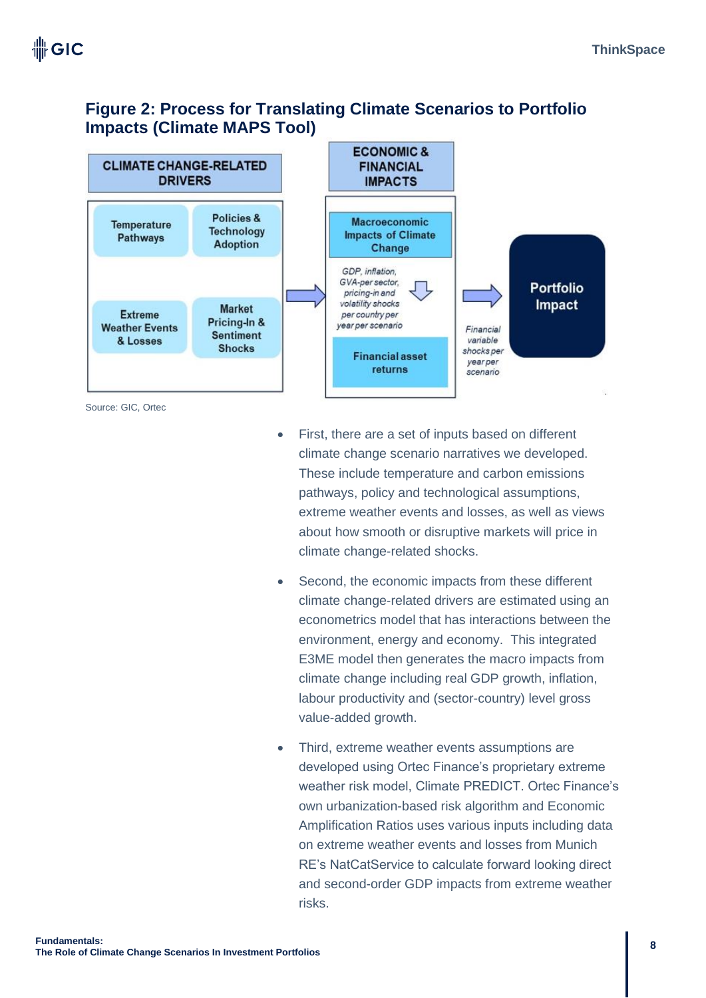### **Figure 2: Process for Translating Climate Scenarios to Portfolio Impacts (Climate MAPS Tool)**



Source: GIC, Ortec

- First, there are a set of inputs based on different climate change scenario narratives we developed. These include temperature and carbon emissions pathways, policy and technological assumptions, extreme weather events and losses, as well as views about how smooth or disruptive markets will price in climate change-related shocks.
- Second, the economic impacts from these different climate change-related drivers are estimated using an econometrics model that has interactions between the environment, energy and economy. This integrated E3ME model then generates the macro impacts from climate change including real GDP growth, inflation, labour productivity and (sector-country) level gross value-added growth.
- Third, extreme weather events assumptions are developed using Ortec Finance's proprietary extreme weather risk model, Climate PREDICT. Ortec Finance's own urbanization-based risk algorithm and Economic Amplification Ratios uses various inputs including data on extreme weather events and losses from Munich RE's NatCatService to calculate forward looking direct and second-order GDP impacts from extreme weather risks.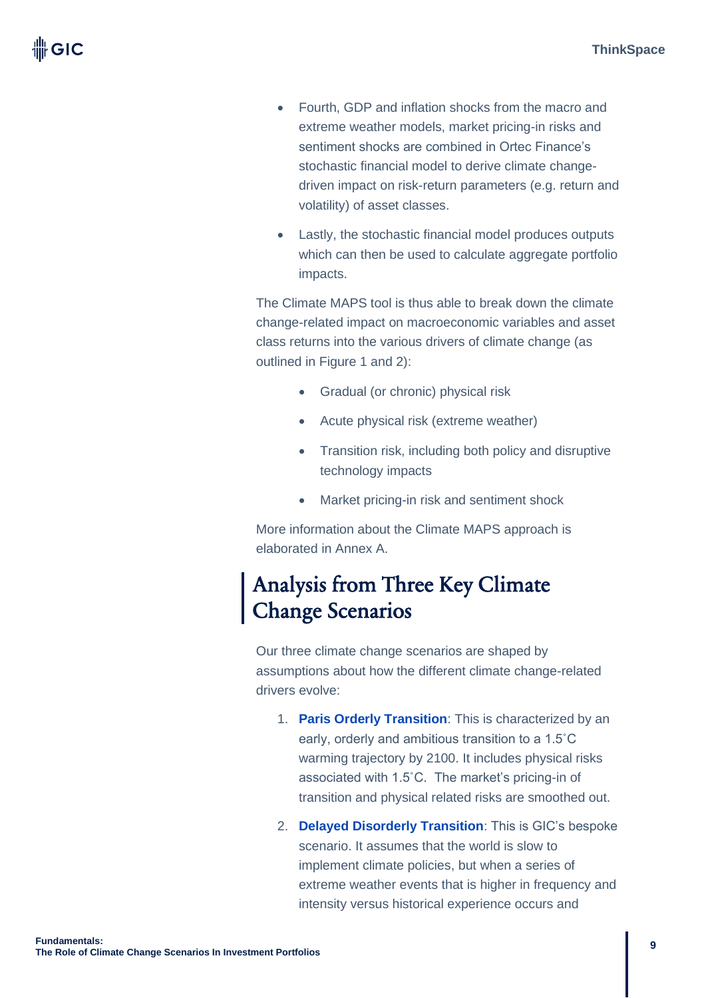- Fourth, GDP and inflation shocks from the macro and extreme weather models, market pricing-in risks and sentiment shocks are combined in Ortec Finance's stochastic financial model to derive climate changedriven impact on risk-return parameters (e.g. return and volatility) of asset classes.
- Lastly, the stochastic financial model produces outputs which can then be used to calculate aggregate portfolio impacts.

The Climate MAPS tool is thus able to break down the climate change-related impact on macroeconomic variables and asset class returns into the various drivers of climate change (as outlined in Figure 1 and 2):

- Gradual (or chronic) physical risk
- Acute physical risk (extreme weather)
- Transition risk, including both policy and disruptive technology impacts
- Market pricing-in risk and sentiment shock

More information about the Climate MAPS approach is elaborated in Annex A.

# Analysis from Three Key Climate Change Scenarios

Our three climate change scenarios are shaped by assumptions about how the different climate change-related drivers evolve:

- 1. **Paris Orderly Transition**: This is characterized by an early, orderly and ambitious transition to a 1.5˚C warming trajectory by 2100. It includes physical risks associated with 1.5˚C. The market's pricing-in of transition and physical related risks are smoothed out.
- 2. **Delayed Disorderly Transition**: This is GIC's bespoke scenario. It assumes that the world is slow to implement climate policies, but when a series of extreme weather events that is higher in frequency and intensity versus historical experience occurs and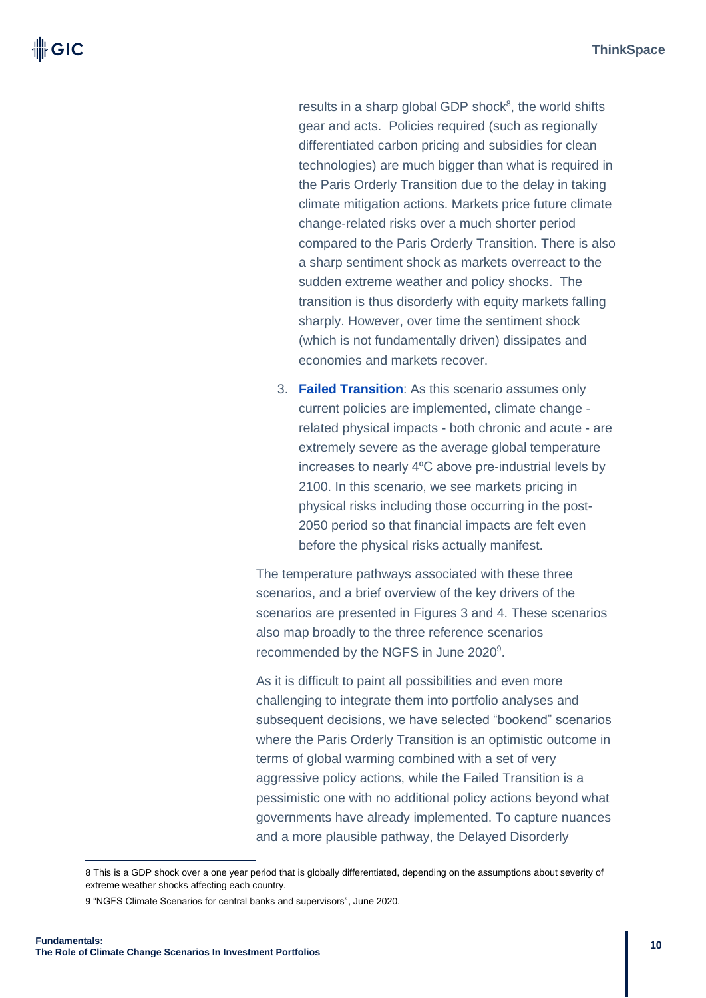results in a sharp global GDP shock<sup>8</sup>, the world shifts gear and acts. Policies required (such as regionally differentiated carbon pricing and subsidies for clean technologies) are much bigger than what is required in the Paris Orderly Transition due to the delay in taking climate mitigation actions. Markets price future climate change-related risks over a much shorter period compared to the Paris Orderly Transition. There is also a sharp sentiment shock as markets overreact to the sudden extreme weather and policy shocks. The transition is thus disorderly with equity markets falling sharply. However, over time the sentiment shock (which is not fundamentally driven) dissipates and economies and markets recover.

3. **Failed Transition**: As this scenario assumes only current policies are implemented, climate change related physical impacts - both chronic and acute - are extremely severe as the average global temperature increases to nearly 4°C above pre-industrial levels by 2100. In this scenario, we see markets pricing in physical risks including those occurring in the post-2050 period so that financial impacts are felt even before the physical risks actually manifest.

The temperature pathways associated with these three scenarios, and a brief overview of the key drivers of the scenarios are presented in Figures 3 and 4. These scenarios also map broadly to the three reference scenarios recommended by the NGFS in June 2020<sup>9</sup>.

As it is difficult to paint all possibilities and even more challenging to integrate them into portfolio analyses and subsequent decisions, we have selected "bookend" scenarios where the Paris Orderly Transition is an optimistic outcome in terms of global warming combined with a set of very aggressive policy actions, while the Failed Transition is a pessimistic one with no additional policy actions beyond what governments have already implemented. To capture nuances and a more plausible pathway, the Delayed Disorderly

<sup>8</sup> This is a GDP shock over a one year period that is globally differentiated, depending on the assumptions about severity of extreme weather shocks affecting each country.

<sup>9</sup> ["NGFS Climate Scenarios for central banks and supervisors",](https://www.ngfs.net/sites/default/files/medias/documents/820184_ngfs_scenarios_final_version_v6.pdf) June 2020.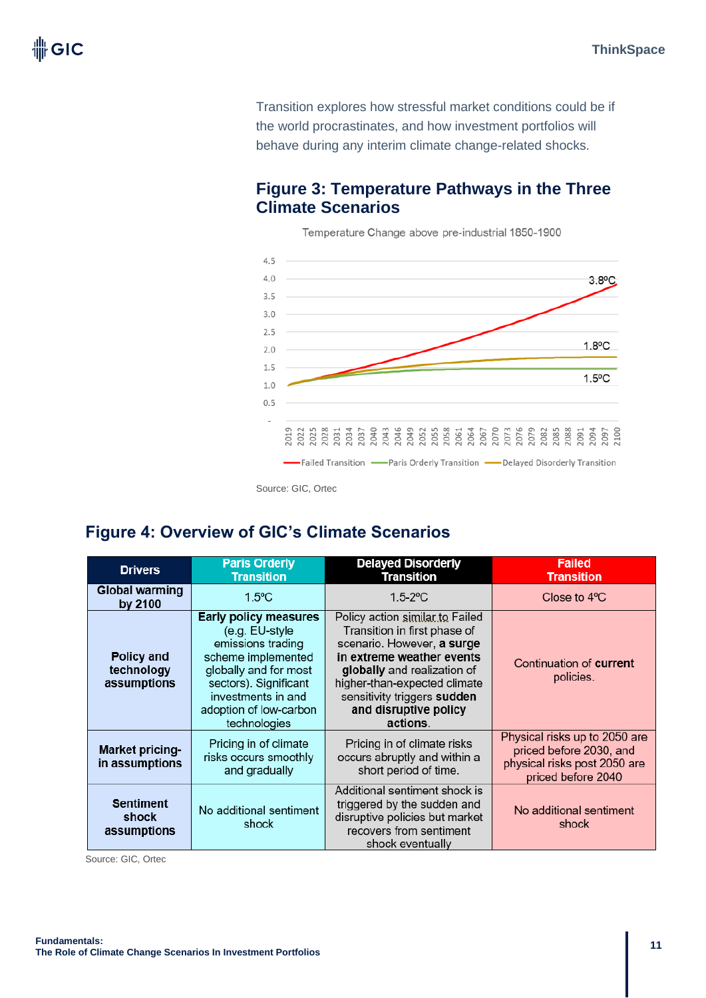Transition explores how stressful market conditions could be if the world procrastinates, and how investment portfolios will behave during any interim climate change-related shocks.

### **Figure 3: Temperature Pathways in the Three Climate Scenarios**

 $4.5$  $4.0$  $3.8^{\circ}$ C  $3.5$  $3.0$  $2.5$  $1.8$ °C  $2.0$  $1.5$  $1.5^{\circ}$ C  $1.0$  $0.5$ -Failed Transition - Paris Orderly Transition - Delayed Disorderly Transition

Temperature Change above pre-industrial 1850-1900

### **Figure 4: Overview of GIC's Climate Scenarios**

| <b>Drivers</b>                                 | <b>Paris Orderly</b><br><b>Transition</b>                                                                                                                                                                   | <b>Delayed Disorderly</b><br><b>Transition</b>                                                                                                                                                                                                                | <b>Failed</b><br><b>Transition</b>                                                                             |
|------------------------------------------------|-------------------------------------------------------------------------------------------------------------------------------------------------------------------------------------------------------------|---------------------------------------------------------------------------------------------------------------------------------------------------------------------------------------------------------------------------------------------------------------|----------------------------------------------------------------------------------------------------------------|
| <b>Global warming</b><br>by 2100               | $1.5^{\circ}$ C                                                                                                                                                                                             | $1.5 - 2^{\circ}C$                                                                                                                                                                                                                                            | Close to $4^{\circ}$ C                                                                                         |
| <b>Policy and</b><br>technology<br>assumptions | <b>Early policy measures</b><br>(e.g. EU-style<br>emissions trading<br>scheme implemented<br>globally and for most<br>sectors). Significant<br>investments in and<br>adoption of low-carbon<br>technologies | Policy action similar to Failed<br>Transition in first phase of<br>scenario. However, a surge<br>in extreme weather events<br>globally and realization of<br>higher-than-expected climate<br>sensitivity triggers sudden<br>and disruptive policy<br>actions. | Continuation of <b>current</b><br>policies.                                                                    |
| <b>Market pricing-</b><br>in assumptions       | Pricing in of climate<br>risks occurs smoothly<br>and gradually                                                                                                                                             | Pricing in of climate risks<br>occurs abruptly and within a<br>short period of time.                                                                                                                                                                          | Physical risks up to 2050 are<br>priced before 2030, and<br>physical risks post 2050 are<br>priced before 2040 |
| <b>Sentiment</b><br>shock<br>assumptions       | No additional sentiment<br>shock                                                                                                                                                                            | Additional sentiment shock is<br>triggered by the sudden and<br>disruptive policies but market<br>recovers from sentiment<br>shock eventually                                                                                                                 | No additional sentiment<br>shock                                                                               |

Source: GIC, Ortec

Source: GIC, Ortec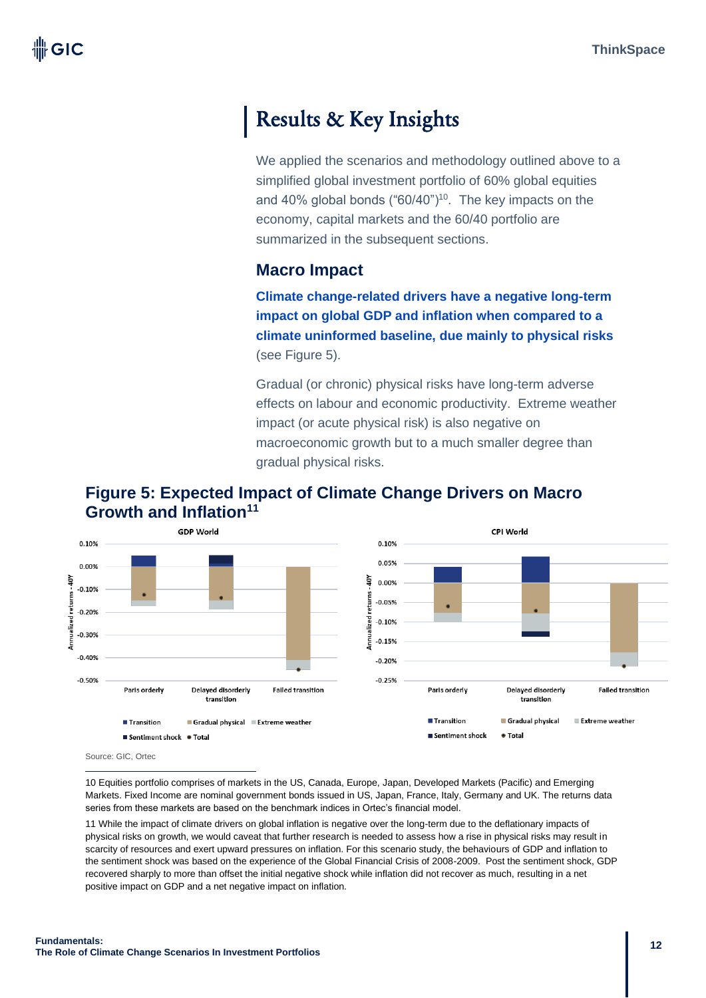# Results & Key Insights

We applied the scenarios and methodology outlined above to a simplified global investment portfolio of 60% global equities and 40% global bonds ("60/40")<sup>10</sup>. The key impacts on the economy, capital markets and the 60/40 portfolio are summarized in the subsequent sections.

### **Macro Impact**

**Climate change-related drivers have a negative long-term impact on global GDP and inflation when compared to a climate uninformed baseline, due mainly to physical risks** (see Figure 5).

Gradual (or chronic) physical risks have long-term adverse effects on labour and economic productivity. Extreme weather impact (or acute physical risk) is also negative on macroeconomic growth but to a much smaller degree than gradual physical risks.





Source: GIC, Ortec

10 Equities portfolio comprises of markets in the US, Canada, Europe, Japan, Developed Markets (Pacific) and Emerging Markets. Fixed Income are nominal government bonds issued in US, Japan, France, Italy, Germany and UK. The returns data series from these markets are based on the benchmark indices in Ortec's financial model.

11 While the impact of climate drivers on global inflation is negative over the long-term due to the deflationary impacts of physical risks on growth, we would caveat that further research is needed to assess how a rise in physical risks may result in scarcity of resources and exert upward pressures on inflation. For this scenario study, the behaviours of GDP and inflation to the sentiment shock was based on the experience of the Global Financial Crisis of 2008-2009. Post the sentiment shock, GDP recovered sharply to more than offset the initial negative shock while inflation did not recover as much, resulting in a net positive impact on GDP and a net negative impact on inflation.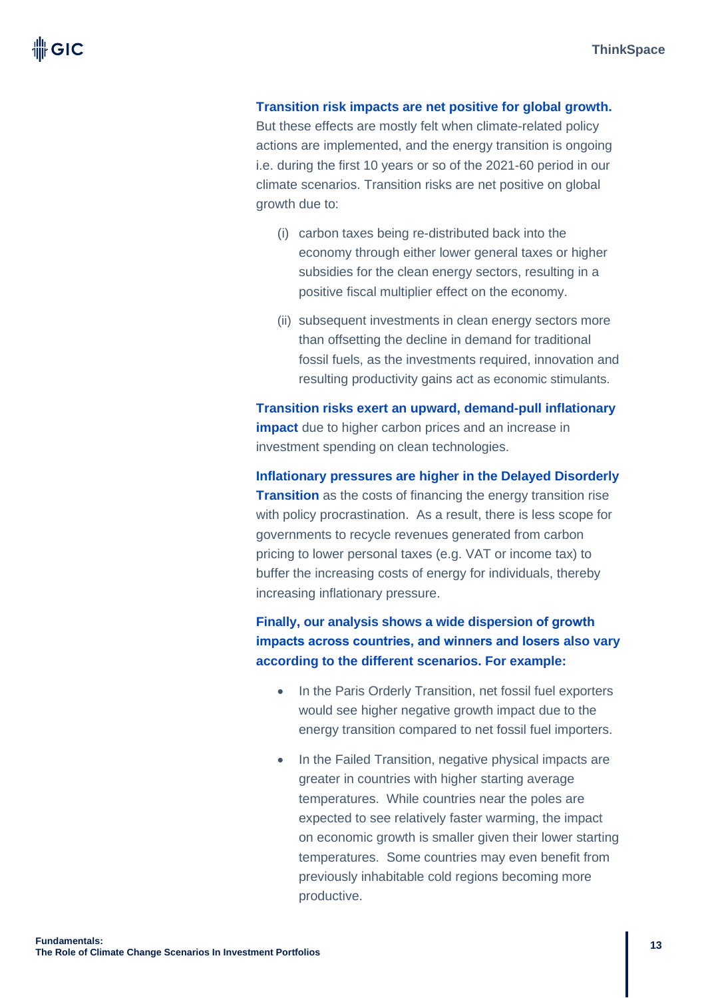**Transition risk impacts are net positive for global growth.** But these effects are mostly felt when climate-related policy actions are implemented, and the energy transition is ongoing i.e. during the first 10 years or so of the 2021-60 period in our climate scenarios. Transition risks are net positive on global growth due to:

- (i) carbon taxes being re-distributed back into the economy through either lower general taxes or higher subsidies for the clean energy sectors, resulting in a positive fiscal multiplier effect on the economy.
- (ii) subsequent investments in clean energy sectors more than offsetting the decline in demand for traditional fossil fuels, as the investments required, innovation and resulting productivity gains act as economic stimulants.

**Transition risks exert an upward, demand-pull inflationary impact** due to higher carbon prices and an increase in investment spending on clean technologies.

**Inflationary pressures are higher in the Delayed Disorderly Transition** as the costs of financing the energy transition rise with policy procrastination. As a result, there is less scope for governments to recycle revenues generated from carbon pricing to lower personal taxes (e.g. VAT or income tax) to buffer the increasing costs of energy for individuals, thereby increasing inflationary pressure.

**Finally, our analysis shows a wide dispersion of growth impacts across countries, and winners and losers also vary according to the different scenarios. For example:**

- In the Paris Orderly Transition, net fossil fuel exporters would see higher negative growth impact due to the energy transition compared to net fossil fuel importers.
- In the Failed Transition, negative physical impacts are greater in countries with higher starting average temperatures. While countries near the poles are expected to see relatively faster warming, the impact on economic growth is smaller given their lower starting temperatures. Some countries may even benefit from previously inhabitable cold regions becoming more productive.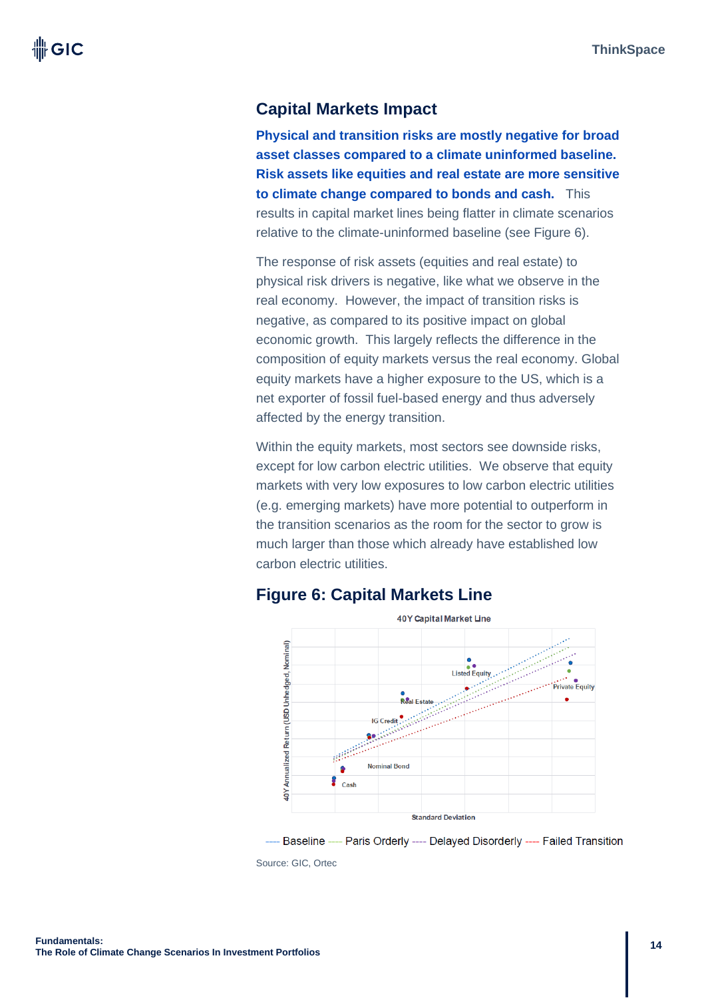### **Capital Markets Impact**

**Physical and transition risks are mostly negative for broad asset classes compared to a climate uninformed baseline. Risk assets like equities and real estate are more sensitive to climate change compared to bonds and cash.** This results in capital market lines being flatter in climate scenarios relative to the climate-uninformed baseline (see Figure 6).

The response of risk assets (equities and real estate) to physical risk drivers is negative, like what we observe in the real economy. However, the impact of transition risks is negative, as compared to its positive impact on global economic growth. This largely reflects the difference in the composition of equity markets versus the real economy. Global equity markets have a higher exposure to the US, which is a net exporter of fossil fuel-based energy and thus adversely affected by the energy transition.

Within the equity markets, most sectors see downside risks, except for low carbon electric utilities. We observe that equity markets with very low exposures to low carbon electric utilities (e.g. emerging markets) have more potential to outperform in the transition scenarios as the room for the sector to grow is much larger than those which already have established low carbon electric utilities.



### **Figure 6: Capital Markets Line**

--- Baseline ---- Paris Orderly ---- Delayed Disorderly ---- Failed Transition Source: GIC, Ortec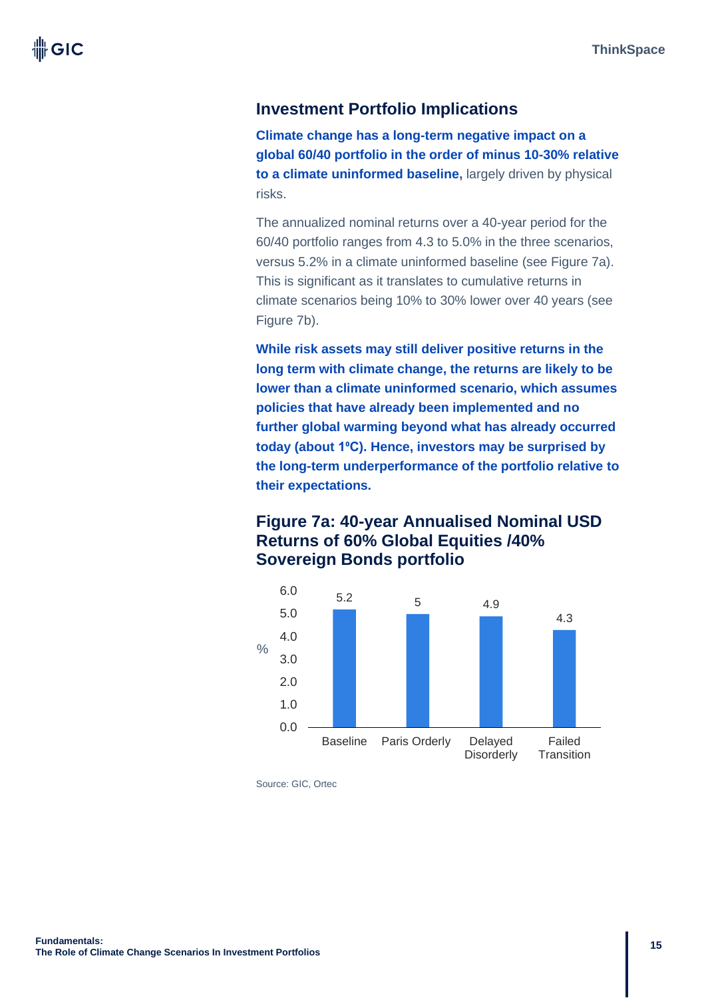### **Investment Portfolio Implications**

**Climate change has a long-term negative impact on a global 60/40 portfolio in the order of minus 10-30% relative to a climate uninformed baseline,** largely driven by physical risks.

The annualized nominal returns over a 40-year period for the 60/40 portfolio ranges from 4.3 to 5.0% in the three scenarios, versus 5.2% in a climate uninformed baseline (see Figure 7a). This is significant as it translates to cumulative returns in climate scenarios being 10% to 30% lower over 40 years (see Figure 7b).

**While risk assets may still deliver positive returns in the long term with climate change, the returns are likely to be lower than a climate uninformed scenario, which assumes policies that have already been implemented and no further global warming beyond what has already occurred today (about 1⁰C). Hence, investors may be surprised by the long-term underperformance of the portfolio relative to their expectations.** 

### **Figure 7a: 40-year Annualised Nominal USD Returns of 60% Global Equities /40% Sovereign Bonds portfolio**



Source: GIC, Ortec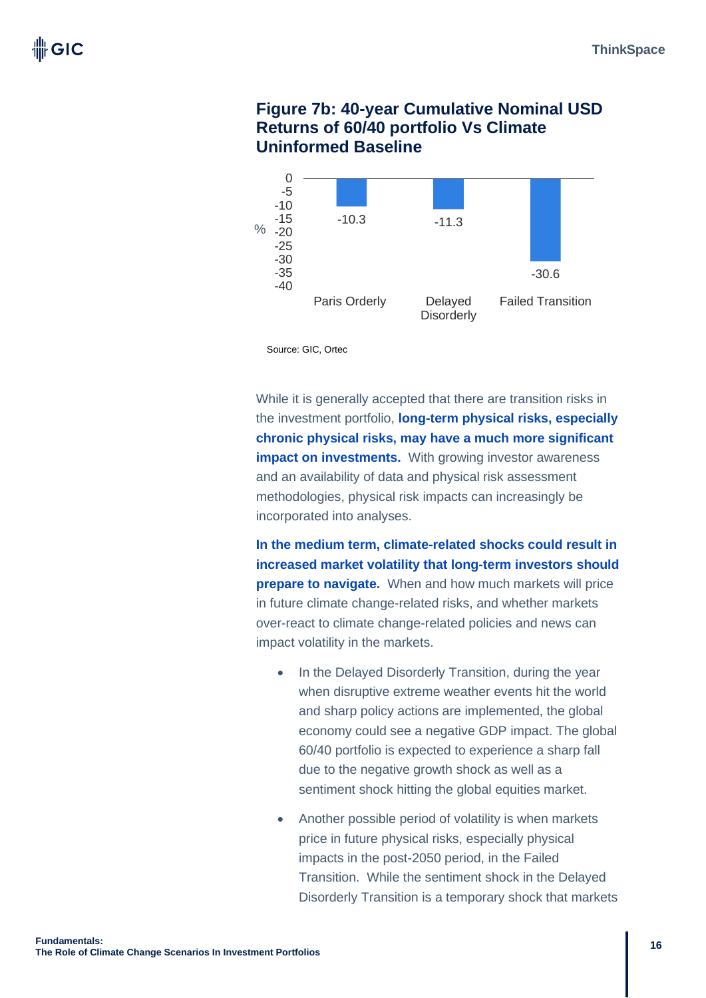### **Figure 7b: 40-year Cumulative Nominal USD Returns of 60/40 portfolio Vs Climate Uninformed Baseline**



Source: GIC, Ortec

While it is generally accepted that there are transition risks in the investment portfolio, **long-term physical risks, especially chronic physical risks, may have a much more significant impact on investments.** With growing investor awareness and an availability of data and physical risk assessment methodologies, physical risk impacts can increasingly be incorporated into analyses.

**In the medium term, climate-related shocks could result in increased market volatility that long-term investors should prepare to navigate.** When and how much markets will price in future climate change-related risks, and whether markets over-react to climate change-related policies and news can impact volatility in the markets.

- In the Delayed Disorderly Transition, during the year when disruptive extreme weather events hit the world and sharp policy actions are implemented, the global economy could see a negative GDP impact. The global 60/40 portfolio is expected to experience a sharp fall due to the negative growth shock as well as a sentiment shock hitting the global equities market.
- Another possible period of volatility is when markets price in future physical risks, especially physical impacts in the post-2050 period, in the Failed Transition. While the sentiment shock in the Delayed Disorderly Transition is a temporary shock that markets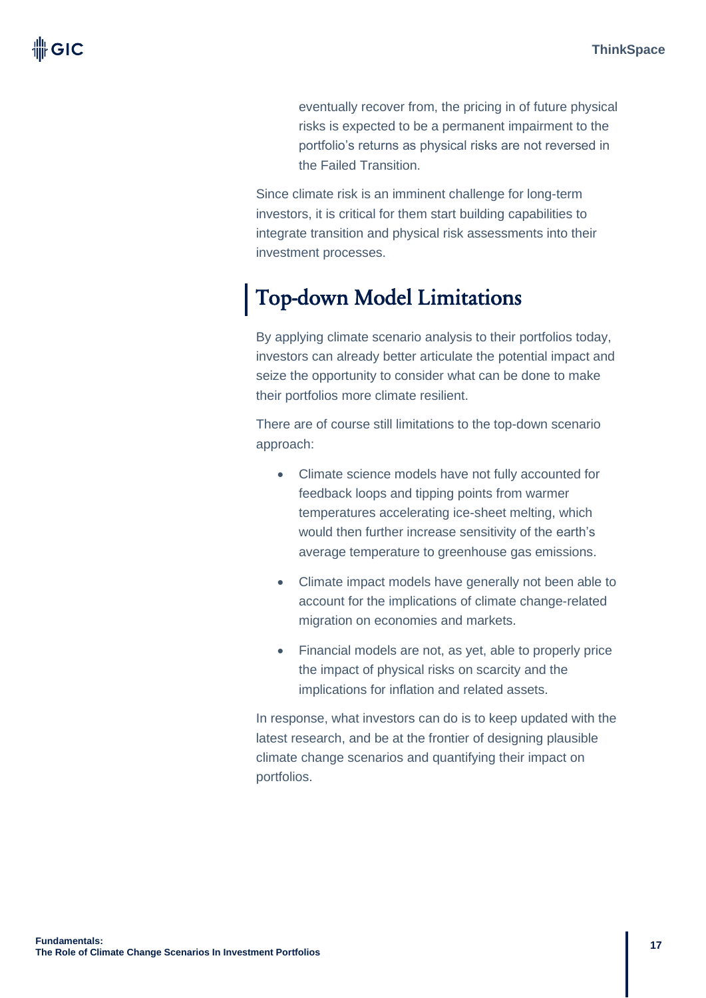eventually recover from, the pricing in of future physical risks is expected to be a permanent impairment to the portfolio's returns as physical risks are not reversed in the Failed Transition.

Since climate risk is an imminent challenge for long-term investors, it is critical for them start building capabilities to integrate transition and physical risk assessments into their investment processes.

# Top-down Model Limitations

By applying climate scenario analysis to their portfolios today, investors can already better articulate the potential impact and seize the opportunity to consider what can be done to make their portfolios more climate resilient.

There are of course still limitations to the top-down scenario approach:

- Climate science models have not fully accounted for feedback loops and tipping points from warmer temperatures accelerating ice-sheet melting, which would then further increase sensitivity of the earth's average temperature to greenhouse gas emissions.
- Climate impact models have generally not been able to account for the implications of climate change-related migration on economies and markets.
- Financial models are not, as yet, able to properly price the impact of physical risks on scarcity and the implications for inflation and related assets.

In response, what investors can do is to keep updated with the latest research, and be at the frontier of designing plausible climate change scenarios and quantifying their impact on portfolios.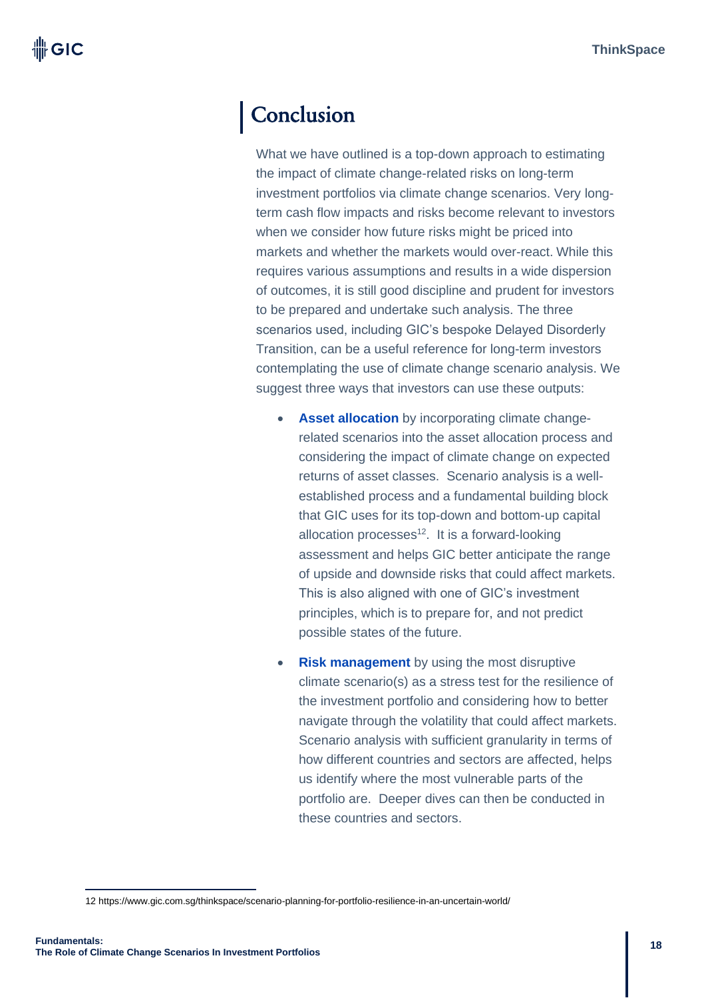# **Conclusion**

What we have outlined is a top-down approach to estimating the impact of climate change-related risks on long-term investment portfolios via climate change scenarios. Very longterm cash flow impacts and risks become relevant to investors when we consider how future risks might be priced into markets and whether the markets would over-react. While this requires various assumptions and results in a wide dispersion of outcomes, it is still good discipline and prudent for investors to be prepared and undertake such analysis. The three scenarios used, including GIC's bespoke Delayed Disorderly Transition, can be a useful reference for long-term investors contemplating the use of climate change scenario analysis. We suggest three ways that investors can use these outputs:

- **Asset allocation** by incorporating climate changerelated scenarios into the asset allocation process and considering the impact of climate change on expected returns of asset classes. Scenario analysis is a wellestablished process and a fundamental building block that GIC uses for its top-down and bottom-up capital allocation processes $12$ . It is a forward-looking assessment and helps GIC better anticipate the range of upside and downside risks that could affect markets. This is also aligned with one of GIC's investment principles, which is to prepare for, and not predict possible states of the future.
- **Risk management** by using the most disruptive climate scenario(s) as a stress test for the resilience of the investment portfolio and considering how to better navigate through the volatility that could affect markets. Scenario analysis with sufficient granularity in terms of how different countries and sectors are affected, helps us identify where the most vulnerable parts of the portfolio are. Deeper dives can then be conducted in these countries and sectors.

<sup>12</sup> https://www.gic.com.sg/thinkspace/scenario-planning-for-portfolio-resilience-in-an-uncertain-world/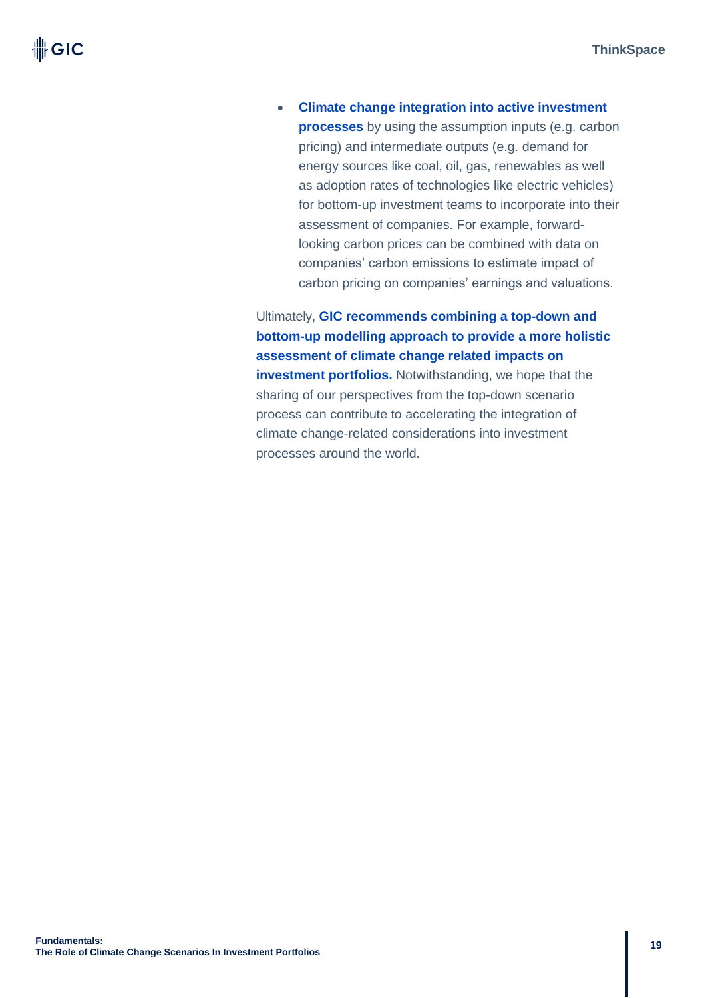• **Climate change integration into active investment processes** by using the assumption inputs (e.g. carbon pricing) and intermediate outputs (e.g. demand for energy sources like coal, oil, gas, renewables as well as adoption rates of technologies like electric vehicles) for bottom-up investment teams to incorporate into their assessment of companies. For example, forwardlooking carbon prices can be combined with data on companies' carbon emissions to estimate impact of carbon pricing on companies' earnings and valuations.

Ultimately, **GIC recommends combining a top-down and bottom-up modelling approach to provide a more holistic assessment of climate change related impacts on investment portfolios.** Notwithstanding, we hope that the sharing of our perspectives from the top-down scenario process can contribute to accelerating the integration of climate change-related considerations into investment processes around the world.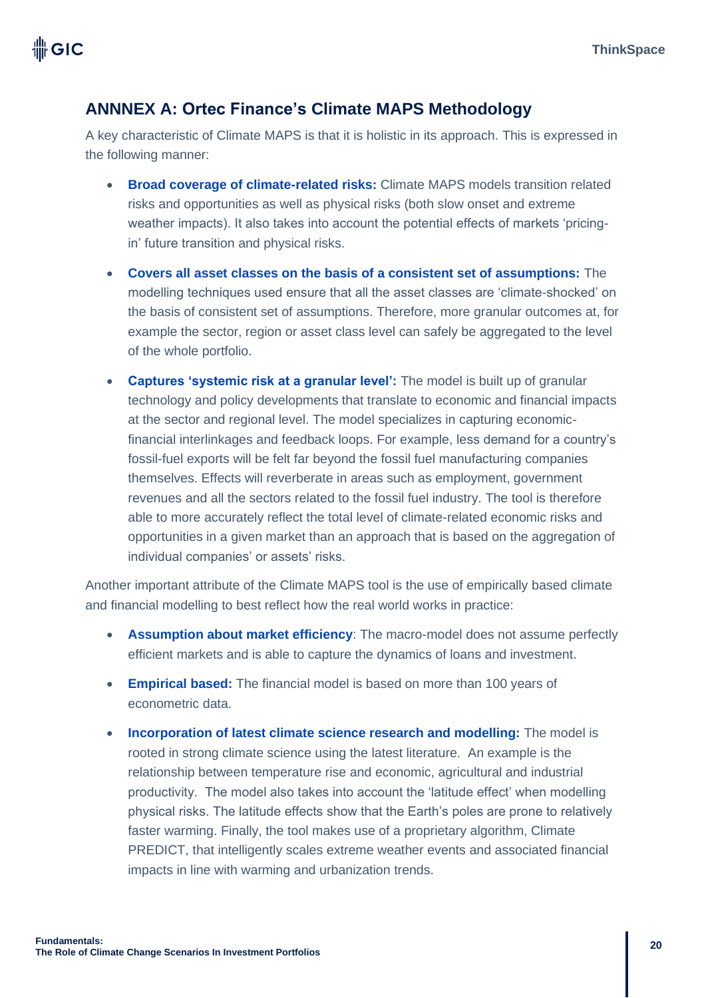### **ANNNEX A: Ortec Finance's Climate MAPS Methodology**

A key characteristic of Climate MAPS is that it is holistic in its approach. This is expressed in the following manner:

- **Broad coverage of climate-related risks:** Climate MAPS models transition related risks and opportunities as well as physical risks (both slow onset and extreme weather impacts). It also takes into account the potential effects of markets 'pricingin' future transition and physical risks.
- **Covers all asset classes on the basis of a consistent set of assumptions:** The modelling techniques used ensure that all the asset classes are 'climate-shocked' on the basis of consistent set of assumptions. Therefore, more granular outcomes at, for example the sector, region or asset class level can safely be aggregated to the level of the whole portfolio.
- **Captures 'systemic risk at a granular level':** The model is built up of granular technology and policy developments that translate to economic and financial impacts at the sector and regional level. The model specializes in capturing economicfinancial interlinkages and feedback loops. For example, less demand for a country's fossil-fuel exports will be felt far beyond the fossil fuel manufacturing companies themselves. Effects will reverberate in areas such as employment, government revenues and all the sectors related to the fossil fuel industry. The tool is therefore able to more accurately reflect the total level of climate-related economic risks and opportunities in a given market than an approach that is based on the aggregation of individual companies' or assets' risks.

Another important attribute of the Climate MAPS tool is the use of empirically based climate and financial modelling to best reflect how the real world works in practice:

- **Assumption about market efficiency**: The macro-model does not assume perfectly efficient markets and is able to capture the dynamics of loans and investment.
- **Empirical based:** The financial model is based on more than 100 years of econometric data.
- **Incorporation of latest climate science research and modelling:** The model is rooted in strong climate science using the latest literature. An example is the relationship between temperature rise and economic, agricultural and industrial productivity. The model also takes into account the 'latitude effect' when modelling physical risks. The latitude effects show that the Earth's poles are prone to relatively faster warming. Finally, the tool makes use of a proprietary algorithm, Climate PREDICT, that intelligently scales extreme weather events and associated financial impacts in line with warming and urbanization trends.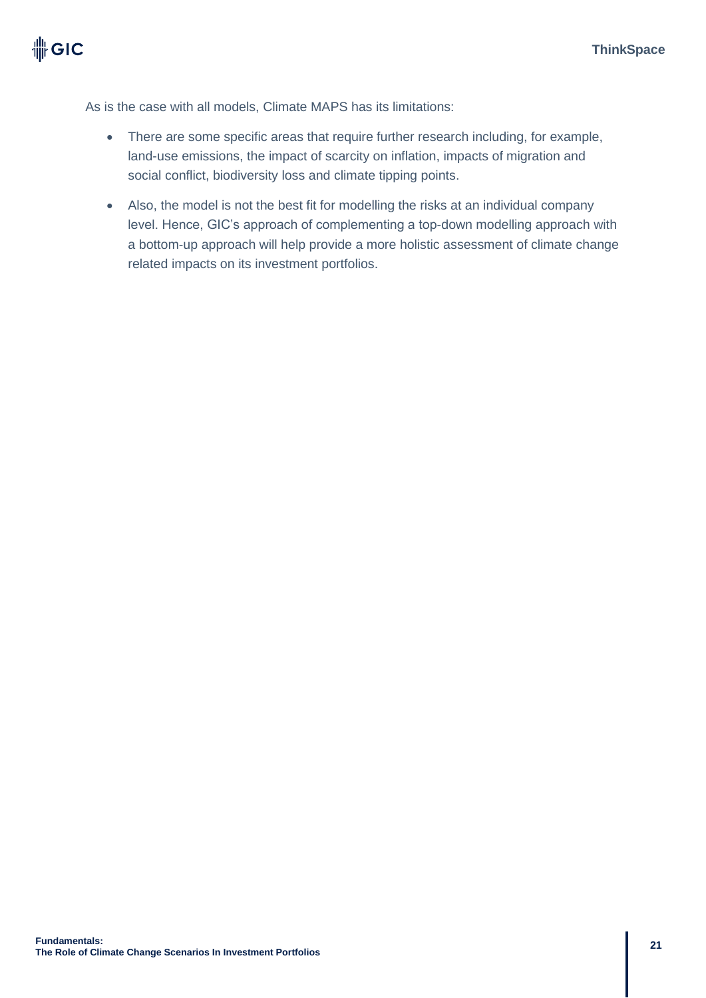As is the case with all models, Climate MAPS has its limitations:

- There are some specific areas that require further research including, for example, land-use emissions, the impact of scarcity on inflation, impacts of migration and social conflict, biodiversity loss and climate tipping points.
- Also, the model is not the best fit for modelling the risks at an individual company level. Hence, GIC's approach of complementing a top-down modelling approach with a bottom-up approach will help provide a more holistic assessment of climate change related impacts on its investment portfolios.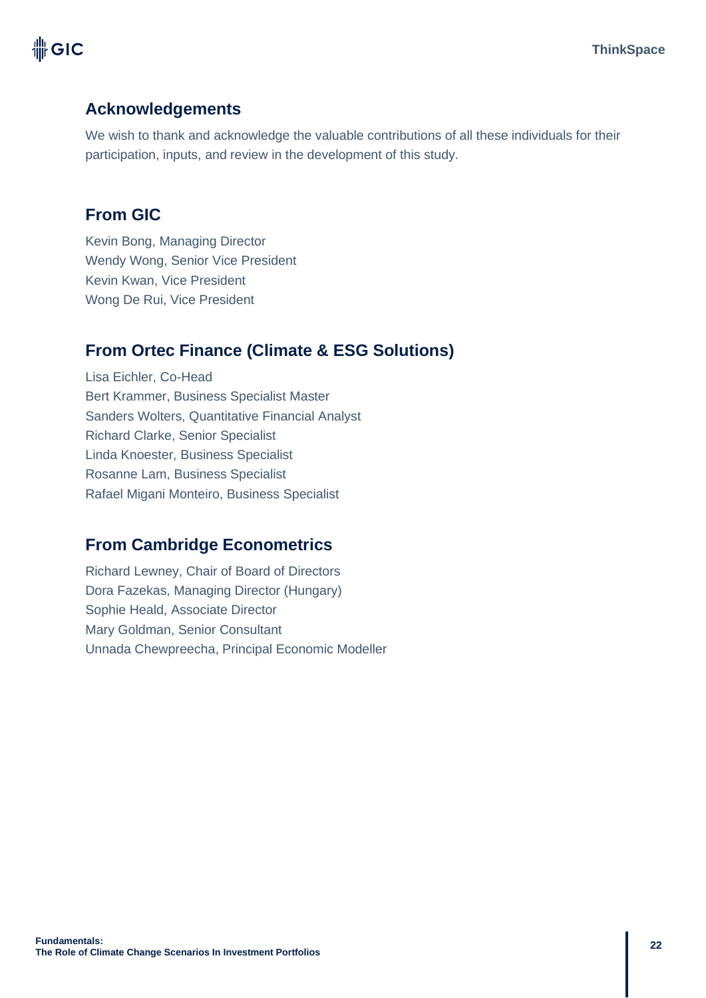# 卌GIC

## **Acknowledgements**

We wish to thank and acknowledge the valuable contributions of all these individuals for their participation, inputs, and review in the development of this study.

### **From GIC**

Kevin Bong, Managing Director Wendy Wong, Senior Vice President Kevin Kwan, Vice President Wong De Rui, Vice President

## **From Ortec Finance (Climate & ESG Solutions)**

Lisa Eichler, Co-Head Bert Krammer, Business Specialist Master Sanders Wolters, Quantitative Financial Analyst Richard Clarke, Senior Specialist Linda Knoester, Business Specialist Rosanne Lam, Business Specialist Rafael Migani Monteiro, Business Specialist

### **From Cambridge Econometrics**

Richard Lewney, Chair of Board of Directors Dora Fazekas, Managing Director (Hungary) Sophie Heald, Associate Director Mary Goldman, Senior Consultant Unnada Chewpreecha, Principal Economic Modeller